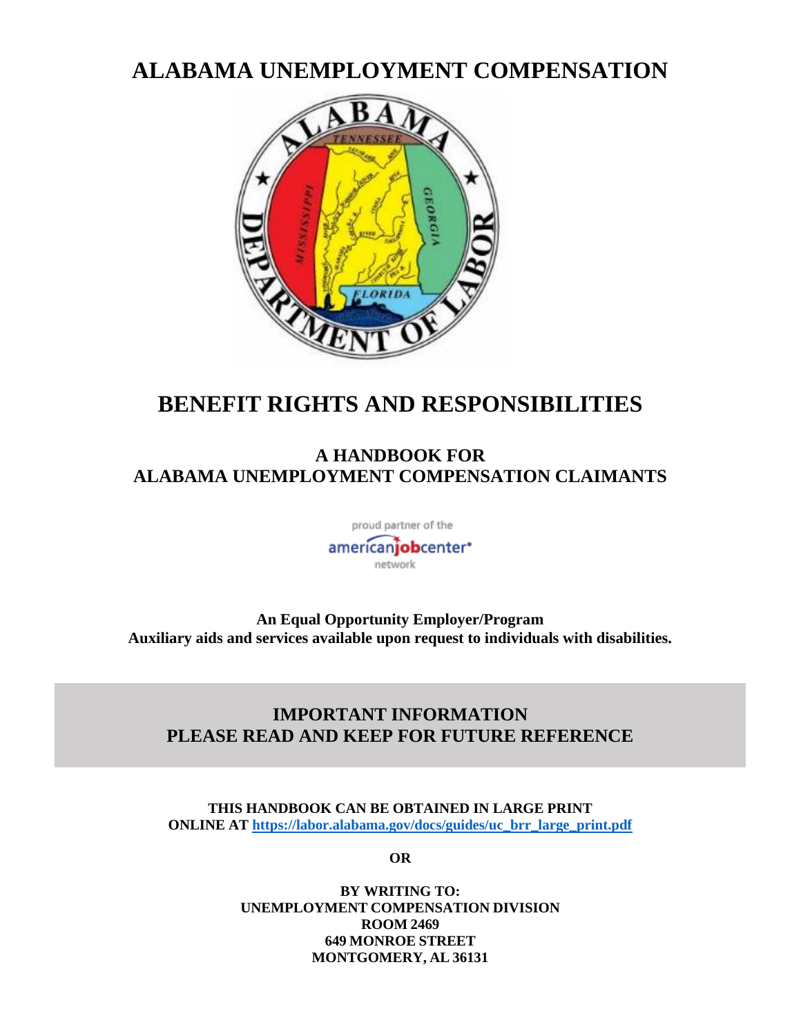# **ALABAMA UNEMPLOYMENT COMPENSATION**



# **BENEFIT RIGHTS AND RESPONSIBILITIES**

## **A HANDBOOK FOR ALABAMA UNEMPLOYMENT COMPENSATION CLAIMANTS**

proud partner of the

americanjobcenter\* network

**An Equal Opportunity Employer/Program Auxiliary aids and services available upon request to individuals with disabilities.**

## **IMPORTANT INFORMATION PLEASE READ AND KEEP FOR FUTURE REFERENCE**

**THIS HANDBOOK CAN BE OBTAINED IN LARGE PRINT ONLINE AT [https://labor.alabama.gov/docs/guides/uc\\_brr\\_large\\_print.pdf](https://labor.alabama.gov/docs/guides/uc_brr_large_print.pdf)**

**OR**

**BY WRITING TO: UNEMPLOYMENT COMPENSATION DIVISION ROOM 2469 649 MONROE STREET MONTGOMERY, AL 36131**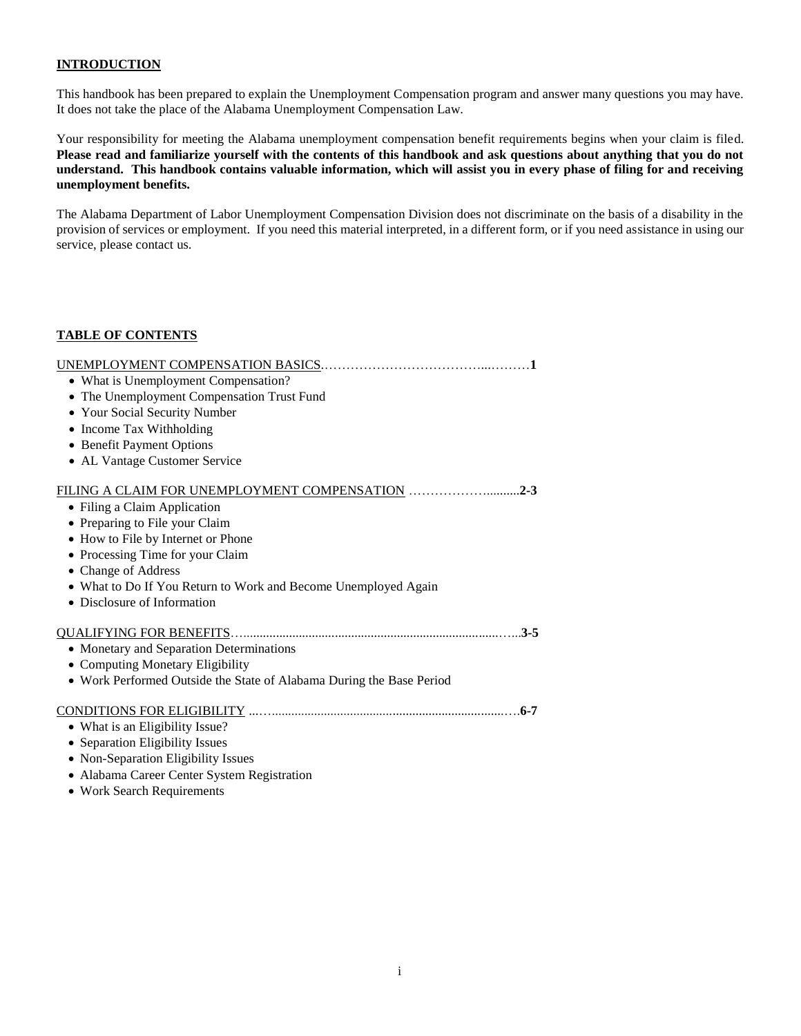## **INTRODUCTION**

This handbook has been prepared to explain the Unemployment Compensation program and answer many questions you may have. It does not take the place of the Alabama Unemployment Compensation Law.

Your responsibility for meeting the Alabama unemployment compensation benefit requirements begins when your claim is filed. **Please read and familiarize yourself with the contents of this handbook and ask questions about anything that you do not understand. This handbook contains valuable information, which will assist you in every phase of filing for and receiving unemployment benefits.**

The Alabama Department of Labor Unemployment Compensation Division does not discriminate on the basis of a disability in the provision of services or employment. If you need this material interpreted, in a different form, or if you need assistance in using our service, please contact us.

## **TABLE OF CONTENTS**

| • What is Unemployment Compensation?                                 |
|----------------------------------------------------------------------|
| • The Unemployment Compensation Trust Fund                           |
| • Your Social Security Number                                        |
| • Income Tax Withholding                                             |
| • Benefit Payment Options                                            |
| • AL Vantage Customer Service                                        |
| FILING A CLAIM FOR UNEMPLOYMENT COMPENSATION 2-3                     |
| • Filing a Claim Application                                         |
| • Preparing to File your Claim                                       |
| • How to File by Internet or Phone                                   |
| • Processing Time for your Claim                                     |
| • Change of Address                                                  |
| • What to Do If You Return to Work and Become Unemployed Again       |
| • Disclosure of Information                                          |
|                                                                      |
| • Monetary and Separation Determinations                             |
| • Computing Monetary Eligibility                                     |
| • Work Performed Outside the State of Alabama During the Base Period |
|                                                                      |
| • What is an Eligibility Issue?                                      |
| • Separation Eligibility Issues                                      |
| • Non-Separation Eligibility Issues                                  |
| · Alabama Career Center System Registration                          |
| • Work Search Requirements                                           |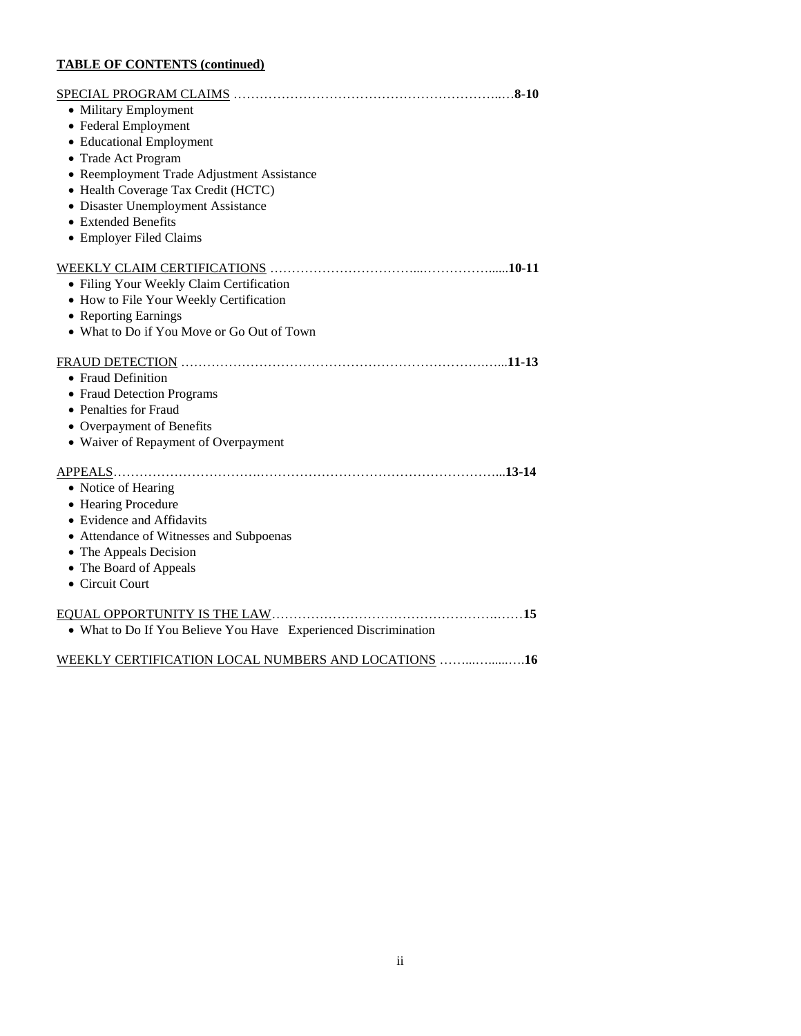## **TABLE OF CONTENTS (continued)**

| • Military Employment                                           |
|-----------------------------------------------------------------|
| • Federal Employment                                            |
| • Educational Employment                                        |
| • Trade Act Program                                             |
| • Reemployment Trade Adjustment Assistance                      |
| • Health Coverage Tax Credit (HCTC)                             |
| • Disaster Unemployment Assistance                              |
| • Extended Benefits                                             |
| • Employer Filed Claims                                         |
|                                                                 |
| • Filing Your Weekly Claim Certification                        |
| • How to File Your Weekly Certification                         |
| • Reporting Earnings                                            |
| • What to Do if You Move or Go Out of Town                      |
|                                                                 |
| • Fraud Definition                                              |
| • Fraud Detection Programs                                      |
| • Penalties for Fraud                                           |
| • Overpayment of Benefits                                       |
| • Waiver of Repayment of Overpayment                            |
|                                                                 |
| • Notice of Hearing                                             |
| • Hearing Procedure                                             |
| • Evidence and Affidavits                                       |
| • Attendance of Witnesses and Subpoenas                         |
| • The Appeals Decision                                          |
| • The Board of Appeals                                          |
| • Circuit Court                                                 |
|                                                                 |
|                                                                 |
| • What to Do If You Believe You Have Experienced Discrimination |
| WEEKLY CERTIFICATION LOCAL NUMBERS AND LOCATIONS 16             |
|                                                                 |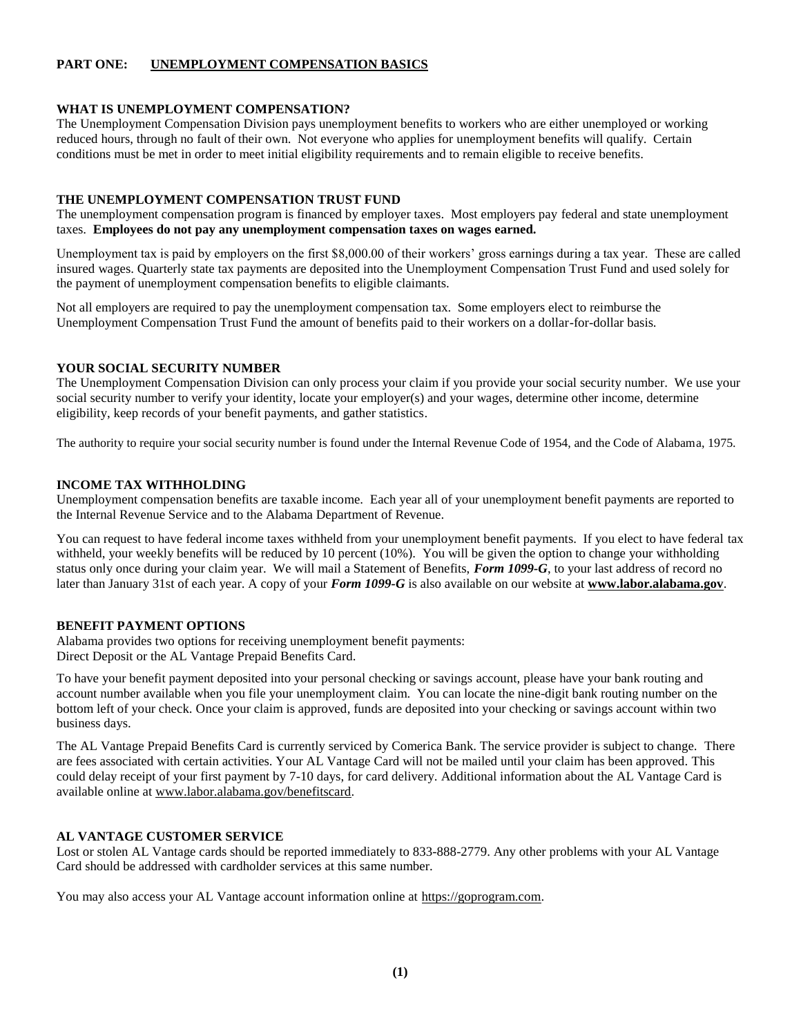## **PART ONE: UNEMPLOYMENT COMPENSATION BASICS**

#### **WHAT IS UNEMPLOYMENT COMPENSATION?**

The Unemployment Compensation Division pays unemployment benefits to workers who are either unemployed or working reduced hours, through no fault of their own. Not everyone who applies for unemployment benefits will qualify. Certain conditions must be met in order to meet initial eligibility requirements and to remain eligible to receive benefits.

#### **THE UNEMPLOYMENT COMPENSATION TRUST FUND**

The unemployment compensation program is financed by employer taxes. Most employers pay federal and state unemployment taxes. **Employees do not pay any unemployment compensation taxes on wages earned.** 

Unemployment tax is paid by employers on the first \$8,000.00 of their workers' gross earnings during a tax year. These are called insured wages. Quarterly state tax payments are deposited into the Unemployment Compensation Trust Fund and used solely for the payment of unemployment compensation benefits to eligible claimants.

Not all employers are required to pay the unemployment compensation tax. Some employers elect to reimburse the Unemployment Compensation Trust Fund the amount of benefits paid to their workers on a dollar-for-dollar basis.

## **YOUR SOCIAL SECURITY NUMBER**

The Unemployment Compensation Division can only process your claim if you provide your social security number. We use your social security number to verify your identity, locate your employer(s) and your wages, determine other income, determine eligibility, keep records of your benefit payments, and gather statistics.

The authority to require your social security number is found under the Internal Revenue Code of 1954, and the Code of Alabama, 1975.

#### **INCOME TAX WITHHOLDING**

Unemployment compensation benefits are taxable income. Each year all of your unemployment benefit payments are reported to the Internal Revenue Service and to the Alabama Department of Revenue.

You can request to have federal income taxes withheld from your unemployment benefit payments. If you elect to have federal tax withheld, your weekly benefits will be reduced by 10 percent (10%). You will be given the option to change your withholding status only once during your claim year. We will mail a Statement of Benefits, *Form 1099-G*, to your last address of record no later than January 31st of each year. A copy of your *Form 1099-G* is also available on our website at **www.labor.alabama.gov**.

## **BENEFIT PAYMENT OPTIONS**

Alabama provides two options for receiving unemployment benefit payments: Direct Deposit or the AL Vantage Prepaid Benefits Card.

To have your benefit payment deposited into your personal checking or savings account, please have your bank routing and account number available when you file your unemployment claim. You can locate the nine-digit bank routing number on the bottom left of your check. Once your claim is approved, funds are deposited into your checking or savings account within two business days.

The AL Vantage Prepaid Benefits Card is currently serviced by Comerica Bank. The service provider is subject to change. There are fees associated with certain activities. Your AL Vantage Card will not be mailed until your claim has been approved. This could delay receipt of your first payment by 7-10 days, for card delivery. Additional information about the AL Vantage Card is available online at www.labor.alabama.gov/benefitscard.

#### **AL VANTAGE CUSTOMER SERVICE**

Lost or stolen AL Vantage cards should be reported immediately to 833-888-2779. Any other problems with your AL Vantage Card should be addressed with cardholder services at this same number.

You may also access your AL Vantage account information online at https://goprogram.com.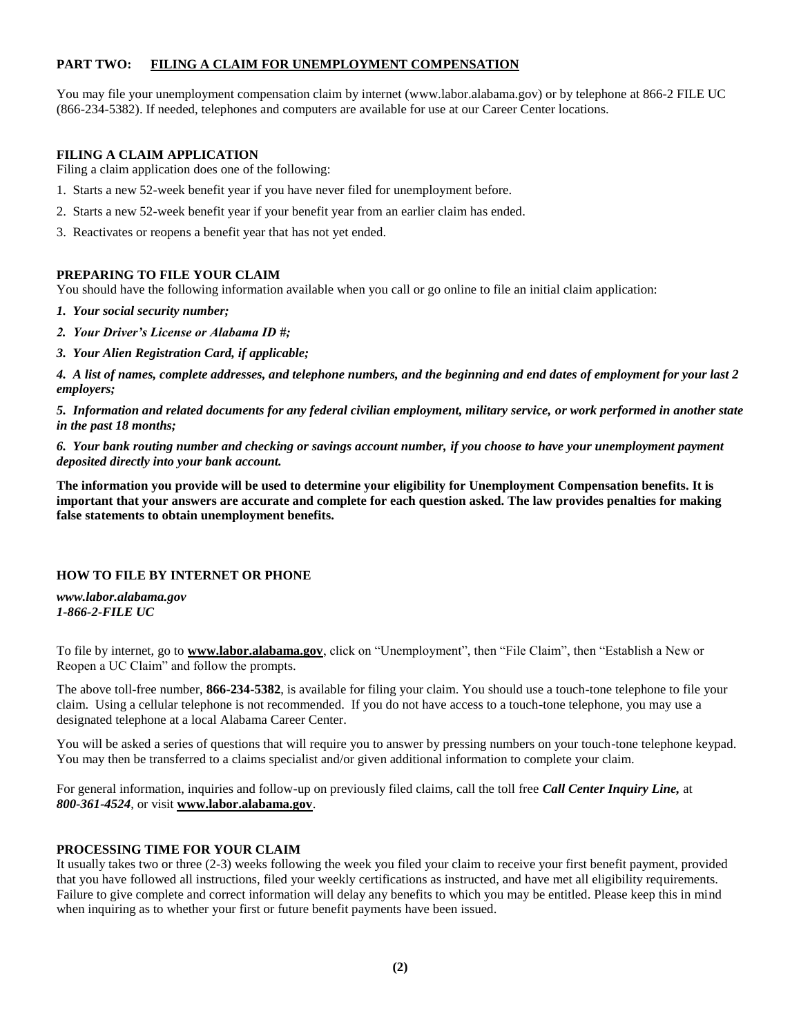## **PART TWO: FILING A CLAIM FOR UNEMPLOYMENT COMPENSATION**

You may file your unemployment compensation claim by internet (www.labor.alabama.gov) or by telephone at 866-2 FILE UC (866-234-5382). If needed, telephones and computers are available for use at our Career Center locations.

## **FILING A CLAIM APPLICATION**

Filing a claim application does one of the following:

- 1. Starts a new 52-week benefit year if you have never filed for unemployment before.
- 2. Starts a new 52-week benefit year if your benefit year from an earlier claim has ended.
- 3. Reactivates or reopens a benefit year that has not yet ended.

## **PREPARING TO FILE YOUR CLAIM**

You should have the following information available when you call or go online to file an initial claim application:

*1. Your social security number;*

- *2. Your Driver's License or Alabama ID #;*
- *3. Your Alien Registration Card, if applicable;*

*4. A list of names, complete addresses, and telephone numbers, and the beginning and end dates of employment for your last 2 employers;*

*5. Information and related documents for any federal civilian employment, military service, or work performed in another state in the past 18 months;*

*6. Your bank routing number and checking or savings account number, if you choose to have your unemployment payment deposited directly into your bank account.*

**The information you provide will be used to determine your eligibility for Unemployment Compensation benefits. It is important that your answers are accurate and complete for each question asked. The law provides penalties for making false statements to obtain unemployment benefits.**

## **HOW TO FILE BY INTERNET OR PHONE**

*www.labor.alabama.gov 1-866-2-FILE UC*

To file by internet, go to **www.labor.alabama.gov**, click on "Unemployment", then "File Claim", then "Establish a New or Reopen a UC Claim" and follow the prompts.

The above toll-free number, **866-234-5382**, is available for filing your claim. You should use a touch-tone telephone to file your claim. Using a cellular telephone is not recommended. If you do not have access to a touch-tone telephone, you may use a designated telephone at a local Alabama Career Center.

You will be asked a series of questions that will require you to answer by pressing numbers on your touch-tone telephone keypad. You may then be transferred to a claims specialist and/or given additional information to complete your claim.

For general information, inquiries and follow-up on previously filed claims, call the toll free *Call Center Inquiry Line,* at *800-361-4524*, or visit **www.labor.alabama.gov**.

## **PROCESSING TIME FOR YOUR CLAIM**

It usually takes two or three (2-3) weeks following the week you filed your claim to receive your first benefit payment, provided that you have followed all instructions, filed your weekly certifications as instructed, and have met all eligibility requirements. Failure to give complete and correct information will delay any benefits to which you may be entitled. Please keep this in mind when inquiring as to whether your first or future benefit payments have been issued.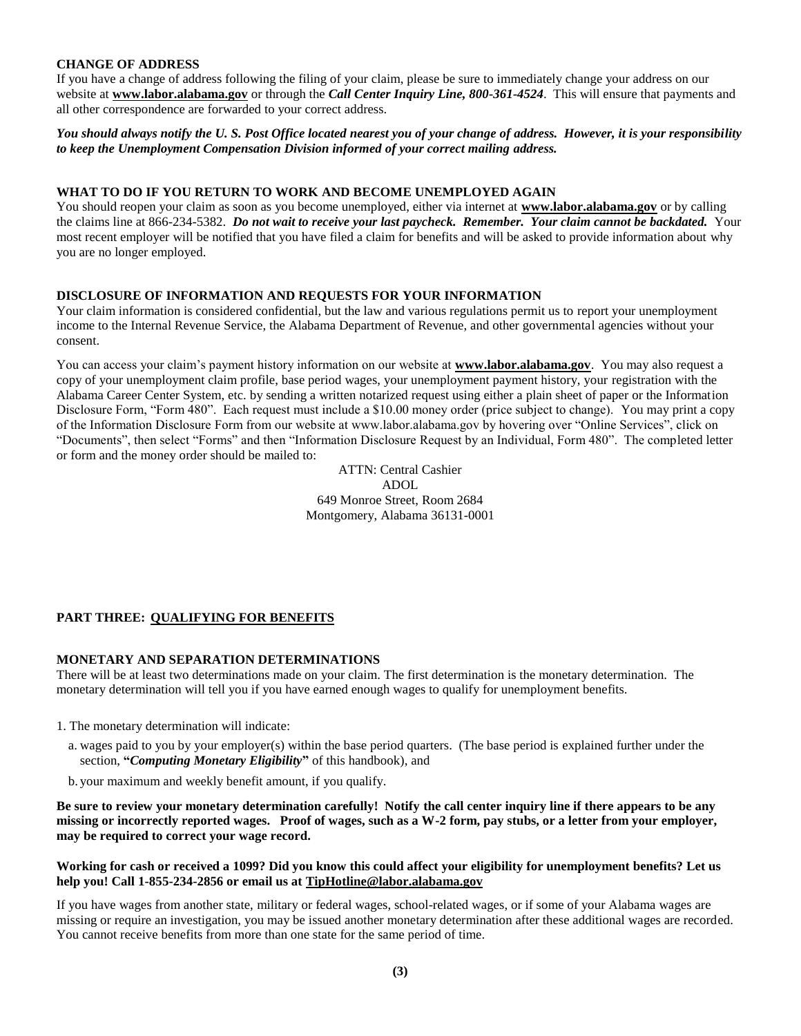## **CHANGE OF ADDRESS**

If you have a change of address following the filing of your claim, please be sure to immediately change your address on our website at **www.labor.alabama.gov** or through the *Call Center Inquiry Line, 800-361-4524*. This will ensure that payments and all other correspondence are forwarded to your correct address.

*You should always notify the U. S. Post Office located nearest you of your change of address. However, it is your responsibility to keep the Unemployment Compensation Division informed of your correct mailing address.*

## **WHAT TO DO IF YOU RETURN TO WORK AND BECOME UNEMPLOYED AGAIN**

You should reopen your claim as soon as you become unemployed, either via internet at **www.labor.alabama.gov** or by calling the claims line at 866-234-5382. *Do not wait to receive your last paycheck. Remember. Your claim cannot be backdated.* Your most recent employer will be notified that you have filed a claim for benefits and will be asked to provide information about why you are no longer employed.

#### **DISCLOSURE OF INFORMATION AND REQUESTS FOR YOUR INFORMATION**

Your claim information is considered confidential, but the law and various regulations permit us to report your unemployment income to the Internal Revenue Service, the Alabama Department of Revenue, and other governmental agencies without your consent.

You can access your claim's payment history information on our website at **www.labor.alabama.gov**. You may also request a copy of your unemployment claim profile, base period wages, your unemployment payment history, your registration with the Alabama Career Center System, etc. by sending a written notarized request using either a plain sheet of paper or the Information Disclosure Form, "Form 480". Each request must include a \$10.00 money order (price subject to change). You may print a copy of the Information Disclosure Form from our website at www.labor.alabama.gov by hovering over "Online Services", click on "Documents", then select "Forms" and then "Information Disclosure Request by an Individual, Form 480". The completed letter or form and the money order should be mailed to:

> ATTN: Central Cashier ADOL 649 Monroe Street, Room 2684 Montgomery, Alabama 36131-0001

## **PART THREE: QUALIFYING FOR BENEFITS**

#### **MONETARY AND SEPARATION DETERMINATIONS**

There will be at least two determinations made on your claim. The first determination is the monetary determination. The monetary determination will tell you if you have earned enough wages to qualify for unemployment benefits.

- 1. The monetary determination will indicate:
	- a. wages paid to you by your employer(s) within the base period quarters. (The base period is explained further under the section, **"***Computing Monetary Eligibility***"** of this handbook), and
	- b. your maximum and weekly benefit amount, if you qualify.

**Be sure to review your monetary determination carefully! Notify the call center inquiry line if there appears to be any missing or incorrectly reported wages. Proof of wages, such as a W-2 form, pay stubs, or a letter from your employer, may be required to correct your wage record.**

#### **Working for cash or received a 1099? Did you know this could affect your eligibility for unemployment benefits? Let us help you! Call 1-855-234-2856 or email us at TipHotline@labor.alabama.gov**

If you have wages from another state, military or federal wages, school-related wages, or if some of your Alabama wages are missing or require an investigation, you may be issued another monetary determination after these additional wages are recorded. You cannot receive benefits from more than one state for the same period of time.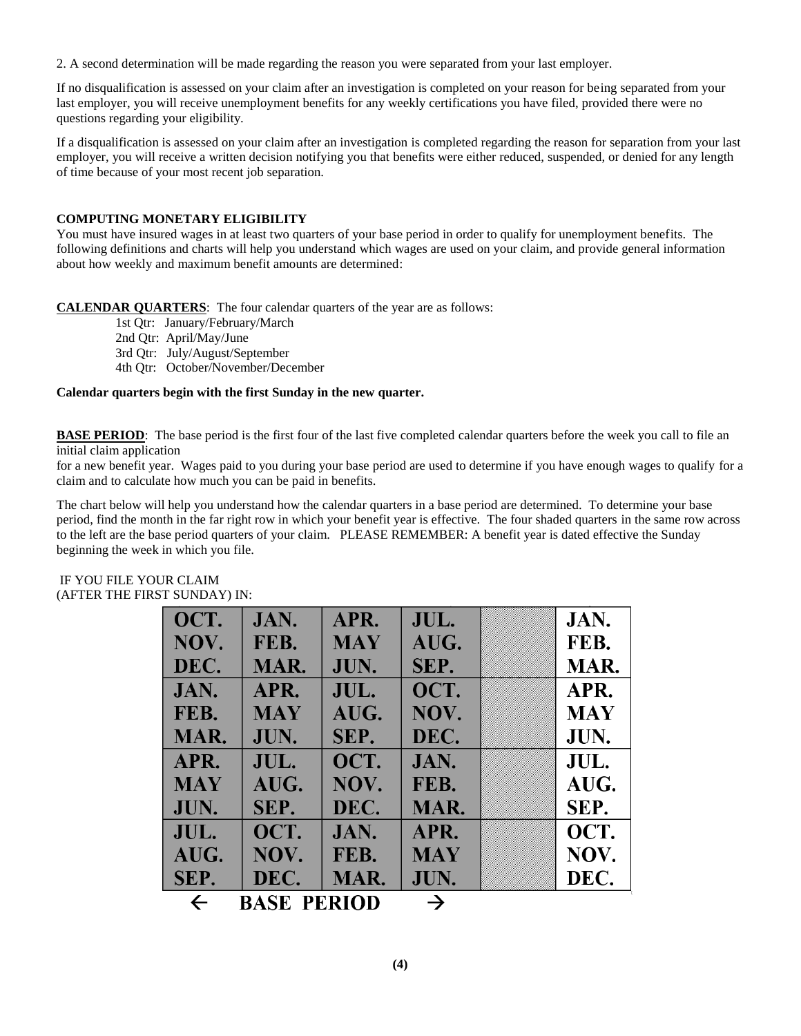2. A second determination will be made regarding the reason you were separated from your last employer.

If no disqualification is assessed on your claim after an investigation is completed on your reason for being separated from your last employer, you will receive unemployment benefits for any weekly certifications you have filed, provided there were no questions regarding your eligibility.

If a disqualification is assessed on your claim after an investigation is completed regarding the reason for separation from your last employer, you will receive a written decision notifying you that benefits were either reduced, suspended, or denied for any length of time because of your most recent job separation.

## **COMPUTING MONETARY ELIGIBILITY**

You must have insured wages in at least two quarters of your base period in order to qualify for unemployment benefits. The following definitions and charts will help you understand which wages are used on your claim, and provide general information about how weekly and maximum benefit amounts are determined:

**CALENDAR QUARTERS**: The four calendar quarters of the year are as follows:

1st Qtr: January/February/March

2nd Qtr: April/May/June

3rd Qtr: July/August/September

4th Qtr: October/November/December

## **Calendar quarters begin with the first Sunday in the new quarter.**

**BASE PERIOD**: The base period is the first four of the last five completed calendar quarters before the week you call to file an initial claim application

for a new benefit year. Wages paid to you during your base period are used to determine if you have enough wages to qualify for a claim and to calculate how much you can be paid in benefits.

The chart below will help you understand how the calendar quarters in a base period are determined. To determine your base period, find the month in the far right row in which your benefit year is effective. The four shaded quarters in the same row across to the left are the base period quarters of your claim. PLEASE REMEMBER: A benefit year is dated effective the Sunday beginning the week in which you file.

| OCT.                                                | JAN.       | APR.       | JUL.       | JAN.       |  |
|-----------------------------------------------------|------------|------------|------------|------------|--|
| NOV.                                                | FEB.       | <b>MAY</b> | AUG.       | FEB.       |  |
| DEC.                                                | MAR.       | JUN.       | SEP.       | MAR.       |  |
| JAN.                                                | APR.       | JUL.       | OCT.       | APR.       |  |
| FEB.                                                | <b>MAY</b> | AUG.       | NOV.       | <b>MAY</b> |  |
| MAR.                                                | JUN.       | SEP.       | DEC.       | JUN.       |  |
| APR.                                                | JUL.       | OCT.       | JAN.       | JUL.       |  |
| <b>MAY</b>                                          | AUG.       | NOV.       | FEB.       | AUG.       |  |
| JUN.                                                | SEP.       | DEC.       | MAR.       | SEP.       |  |
| JUL.                                                | OCT.       | JAN.       | APR.       | OCT.       |  |
| AUG.                                                | NOV.       | FEB.       | <b>MAY</b> | NOV.       |  |
| SEP.                                                | DEC.       | MAR.       | JUN.       | DEC.       |  |
| <b>BASE PERIOD</b><br>$\rightarrow$<br>$\leftarrow$ |            |            |            |            |  |

## IF YOU FILE YOUR CLAIM (AFTER THE FIRST SUNDAY) IN: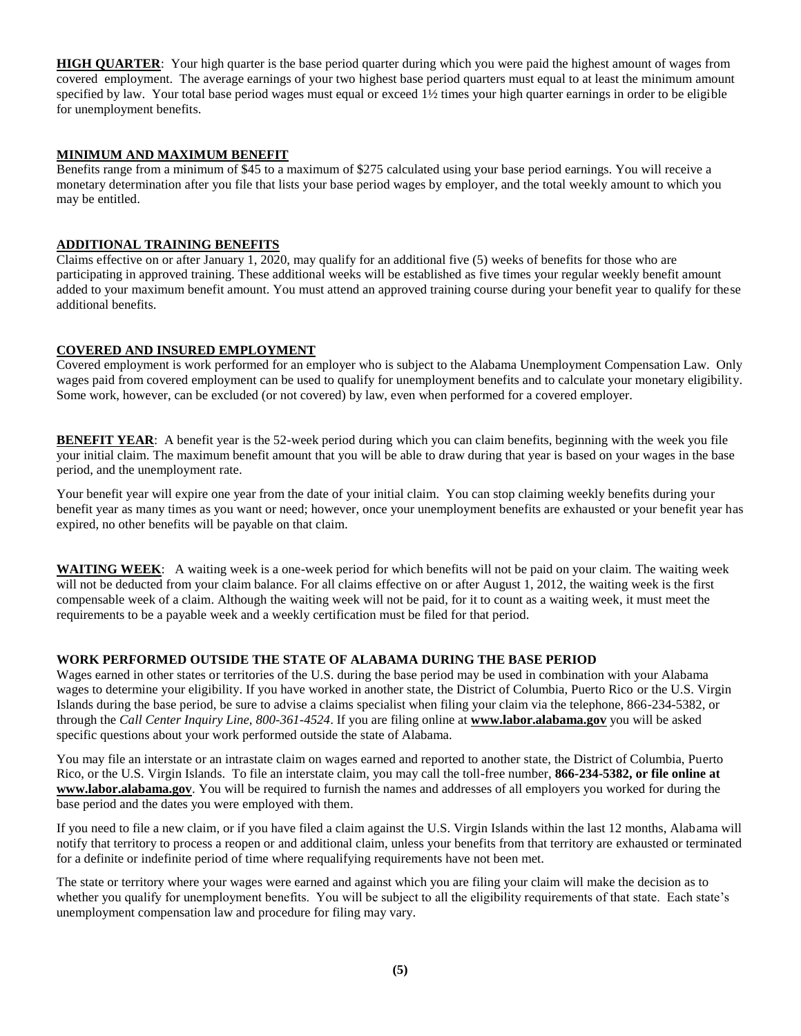**HIGH QUARTER**: Your high quarter is the base period quarter during which you were paid the highest amount of wages from covered employment. The average earnings of your two highest base period quarters must equal to at least the minimum amount specified by law. Your total base period wages must equal or exceed  $1\frac{1}{2}$  times your high quarter earnings in order to be eligible for unemployment benefits.

## **MINIMUM AND MAXIMUM BENEFIT**

Benefits range from a minimum of \$45 to a maximum of \$275 calculated using your base period earnings. You will receive a monetary determination after you file that lists your base period wages by employer, and the total weekly amount to which you may be entitled.

## **ADDITIONAL TRAINING BENEFITS**

Claims effective on or after January 1, 2020, may qualify for an additional five (5) weeks of benefits for those who are participating in approved training. These additional weeks will be established as five times your regular weekly benefit amount added to your maximum benefit amount. You must attend an approved training course during your benefit year to qualify for these additional benefits.

## **COVERED AND INSURED EMPLOYMENT**

Covered employment is work performed for an employer who is subject to the Alabama Unemployment Compensation Law. Only wages paid from covered employment can be used to qualify for unemployment benefits and to calculate your monetary eligibility. Some work, however, can be excluded (or not covered) by law, even when performed for a covered employer.

**BENEFIT YEAR:** A benefit year is the 52-week period during which you can claim benefits, beginning with the week you file your initial claim. The maximum benefit amount that you will be able to draw during that year is based on your wages in the base period, and the unemployment rate.

Your benefit year will expire one year from the date of your initial claim. You can stop claiming weekly benefits during your benefit year as many times as you want or need; however, once your unemployment benefits are exhausted or your benefit year has expired, no other benefits will be payable on that claim.

**WAITING WEEK**: A waiting week is a one-week period for which benefits will not be paid on your claim. The waiting week will not be deducted from your claim balance. For all claims effective on or after August 1, 2012, the waiting week is the first compensable week of a claim. Although the waiting week will not be paid, for it to count as a waiting week, it must meet the requirements to be a payable week and a weekly certification must be filed for that period.

## **WORK PERFORMED OUTSIDE THE STATE OF ALABAMA DURING THE BASE PERIOD**

Wages earned in other states or territories of the U.S. during the base period may be used in combination with your Alabama wages to determine your eligibility. If you have worked in another state, the District of Columbia, Puerto Rico or the U.S. Virgin Islands during the base period, be sure to advise a claims specialist when filing your claim via the telephone, 866-234-5382, or through the *Call Center Inquiry Line, 800-361-4524*. If you are filing online at **www.labor.alabama.gov** you will be asked specific questions about your work performed outside the state of Alabama.

You may file an interstate or an intrastate claim on wages earned and reported to another state, the District of Columbia, Puerto Rico, or the U.S. Virgin Islands. To file an interstate claim, you may call the toll-free number, **866-234-5382, or file online at www.labor.alabama.gov**. You will be required to furnish the names and addresses of all employers you worked for during the base period and the dates you were employed with them.

If you need to file a new claim, or if you have filed a claim against the U.S. Virgin Islands within the last 12 months, Alabama will notify that territory to process a reopen or and additional claim, unless your benefits from that territory are exhausted or terminated for a definite or indefinite period of time where requalifying requirements have not been met.

The state or territory where your wages were earned and against which you are filing your claim will make the decision as to whether you qualify for unemployment benefits. You will be subject to all the eligibility requirements of that state. Each state's unemployment compensation law and procedure for filing may vary.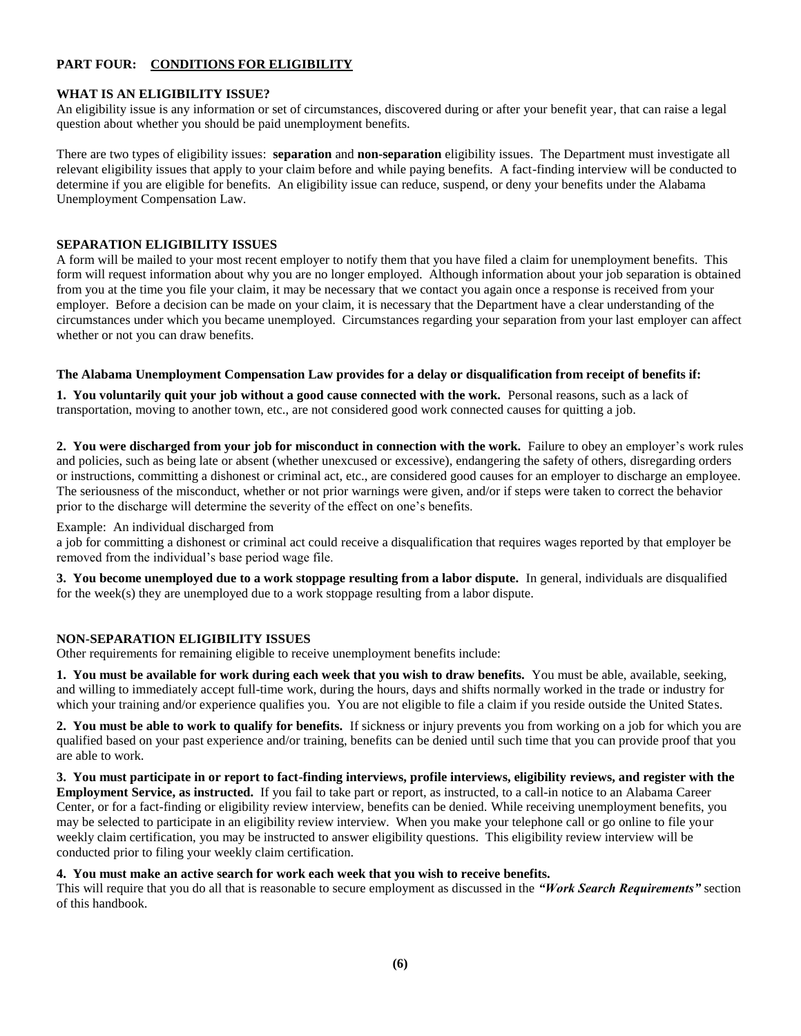## **PART FOUR: CONDITIONS FOR ELIGIBILITY**

#### **WHAT IS AN ELIGIBILITY ISSUE?**

An eligibility issue is any information or set of circumstances, discovered during or after your benefit year, that can raise a legal question about whether you should be paid unemployment benefits.

There are two types of eligibility issues: **separation** and **non-separation** eligibility issues. The Department must investigate all relevant eligibility issues that apply to your claim before and while paying benefits. A fact-finding interview will be conducted to determine if you are eligible for benefits. An eligibility issue can reduce, suspend, or deny your benefits under the Alabama Unemployment Compensation Law.

### **SEPARATION ELIGIBILITY ISSUES**

A form will be mailed to your most recent employer to notify them that you have filed a claim for unemployment benefits. This form will request information about why you are no longer employed. Although information about your job separation is obtained from you at the time you file your claim, it may be necessary that we contact you again once a response is received from your employer. Before a decision can be made on your claim, it is necessary that the Department have a clear understanding of the circumstances under which you became unemployed. Circumstances regarding your separation from your last employer can affect whether or not you can draw benefits.

#### **The Alabama Unemployment Compensation Law provides for a delay or disqualification from receipt of benefits if:**

**1. You voluntarily quit your job without a good cause connected with the work.** Personal reasons, such as a lack of transportation, moving to another town, etc., are not considered good work connected causes for quitting a job.

**2. You were discharged from your job for misconduct in connection with the work.** Failure to obey an employer's work rules and policies, such as being late or absent (whether unexcused or excessive), endangering the safety of others, disregarding orders or instructions, committing a dishonest or criminal act, etc., are considered good causes for an employer to discharge an employee. The seriousness of the misconduct, whether or not prior warnings were given, and/or if steps were taken to correct the behavior prior to the discharge will determine the severity of the effect on one's benefits.

#### Example: An individual discharged from

a job for committing a dishonest or criminal act could receive a disqualification that requires wages reported by that employer be removed from the individual's base period wage file.

**3. You become unemployed due to a work stoppage resulting from a labor dispute.** In general, individuals are disqualified for the week(s) they are unemployed due to a work stoppage resulting from a labor dispute.

#### **NON-SEPARATION ELIGIBILITY ISSUES**

Other requirements for remaining eligible to receive unemployment benefits include:

**1. You must be available for work during each week that you wish to draw benefits.** You must be able, available, seeking, and willing to immediately accept full-time work, during the hours, days and shifts normally worked in the trade or industry for which your training and/or experience qualifies you. You are not eligible to file a claim if you reside outside the United States.

**2. You must be able to work to qualify for benefits.** If sickness or injury prevents you from working on a job for which you are qualified based on your past experience and/or training, benefits can be denied until such time that you can provide proof that you are able to work.

**3. You must participate in or report to fact-finding interviews, profile interviews, eligibility reviews, and register with the Employment Service, as instructed.** If you fail to take part or report, as instructed, to a call-in notice to an Alabama Career Center, or for a fact-finding or eligibility review interview, benefits can be denied. While receiving unemployment benefits, you may be selected to participate in an eligibility review interview. When you make your telephone call or go online to file your weekly claim certification, you may be instructed to answer eligibility questions. This eligibility review interview will be conducted prior to filing your weekly claim certification.

## **4. You must make an active search for work each week that you wish to receive benefits.**

This will require that you do all that is reasonable to secure employment as discussed in the *"Work Search Requirements"* section of this handbook.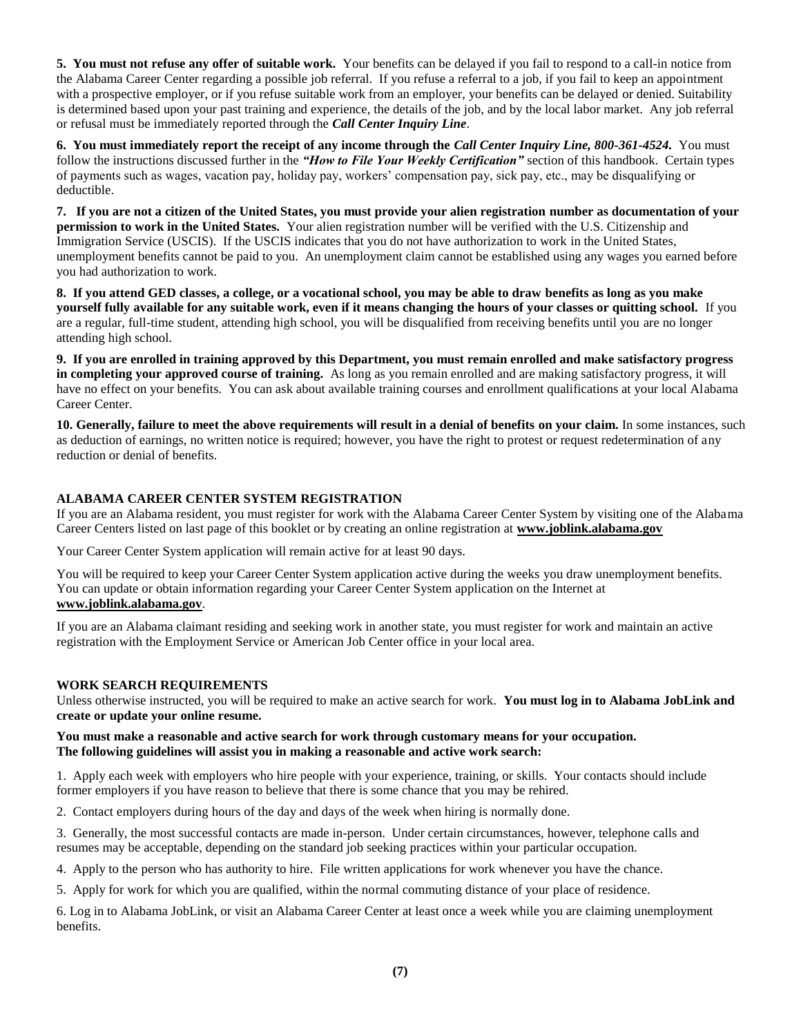**5. You must not refuse any offer of suitable work.** Your benefits can be delayed if you fail to respond to a call-in notice from the Alabama Career Center regarding a possible job referral. If you refuse a referral to a job, if you fail to keep an appointment with a prospective employer, or if you refuse suitable work from an employer, your benefits can be delayed or denied. Suitability is determined based upon your past training and experience, the details of the job, and by the local labor market. Any job referral or refusal must be immediately reported through the *Call Center Inquiry Line*.

**6. You must immediately report the receipt of any income through the** *Call Center Inquiry Line, 800-361-4524.* You must follow the instructions discussed further in the *"How to File Your Weekly Certification"* section of this handbook. Certain types of payments such as wages, vacation pay, holiday pay, workers' compensation pay, sick pay, etc., may be disqualifying or deductible.

**7. If you are not a citizen of the United States, you must provide your alien registration number as documentation of your permission to work in the United States.** Your alien registration number will be verified with the U.S. Citizenship and Immigration Service (USCIS). If the USCIS indicates that you do not have authorization to work in the United States, unemployment benefits cannot be paid to you. An unemployment claim cannot be established using any wages you earned before you had authorization to work.

**8. If you attend GED classes, a college, or a vocational school, you may be able to draw benefits as long as you make yourself fully available for any suitable work, even if it means changing the hours of your classes or quitting school.** If you are a regular, full-time student, attending high school, you will be disqualified from receiving benefits until you are no longer attending high school.

**9. If you are enrolled in training approved by this Department, you must remain enrolled and make satisfactory progress in completing your approved course of training.** As long as you remain enrolled and are making satisfactory progress, it will have no effect on your benefits. You can ask about available training courses and enrollment qualifications at your local Alabama Career Center.

**10. Generally, failure to meet the above requirements will result in a denial of benefits on your claim.** In some instances, such as deduction of earnings, no written notice is required; however, you have the right to protest or request redetermination of any reduction or denial of benefits.

## **ALABAMA CAREER CENTER SYSTEM REGISTRATION**

If you are an Alabama resident, you must register for work with the Alabama Career Center System by visiting one of the Alabama Career Centers listed on last page of this booklet or by creating an online registration at **www.joblink.alabama.gov**

Your Career Center System application will remain active for at least 90 days.

You will be required to keep your Career Center System application active during the weeks you draw unemployment benefits. You can update or obtain information regarding your Career Center System application on the Internet at **www.joblink.alabama.gov**.

If you are an Alabama claimant residing and seeking work in another state, you must register for work and maintain an active registration with the Employment Service or American Job Center office in your local area.

## **WORK SEARCH REQUIREMENTS**

Unless otherwise instructed, you will be required to make an active search for work. **You must log in to Alabama JobLink and create or update your online resume.** 

#### **You must make a reasonable and active search for work through customary means for your occupation. The following guidelines will assist you in making a reasonable and active work search:**

1. Apply each week with employers who hire people with your experience, training, or skills. Your contacts should include former employers if you have reason to believe that there is some chance that you may be rehired.

2. Contact employers during hours of the day and days of the week when hiring is normally done.

3. Generally, the most successful contacts are made in-person. Under certain circumstances, however, telephone calls and resumes may be acceptable, depending on the standard job seeking practices within your particular occupation.

4. Apply to the person who has authority to hire. File written applications for work whenever you have the chance.

5. Apply for work for which you are qualified, within the normal commuting distance of your place of residence.

6. Log in to Alabama JobLink, or visit an Alabama Career Center at least once a week while you are claiming unemployment benefits.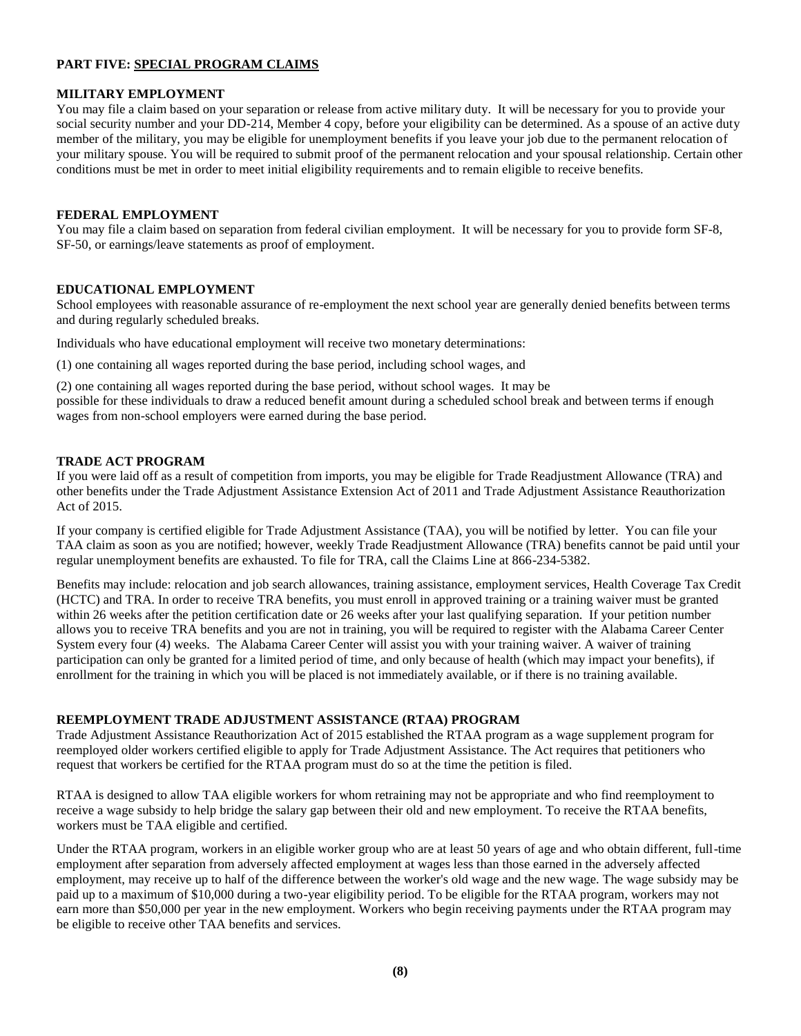## **PART FIVE: SPECIAL PROGRAM CLAIMS**

## **MILITARY EMPLOYMENT**

You may file a claim based on your separation or release from active military duty. It will be necessary for you to provide your social security number and your DD-214, Member 4 copy, before your eligibility can be determined. As a spouse of an active duty member of the military, you may be eligible for unemployment benefits if you leave your job due to the permanent relocation of your military spouse. You will be required to submit proof of the permanent relocation and your spousal relationship. Certain other conditions must be met in order to meet initial eligibility requirements and to remain eligible to receive benefits.

#### **FEDERAL EMPLOYMENT**

You may file a claim based on separation from federal civilian employment. It will be necessary for you to provide form SF-8, SF-50, or earnings/leave statements as proof of employment.

#### **EDUCATIONAL EMPLOYMENT**

School employees with reasonable assurance of re-employment the next school year are generally denied benefits between terms and during regularly scheduled breaks.

Individuals who have educational employment will receive two monetary determinations:

(1) one containing all wages reported during the base period, including school wages, and

(2) one containing all wages reported during the base period, without school wages. It may be possible for these individuals to draw a reduced benefit amount during a scheduled school break and between terms if enough wages from non-school employers were earned during the base period.

#### **TRADE ACT PROGRAM**

If you were laid off as a result of competition from imports, you may be eligible for Trade Readjustment Allowance (TRA) and other benefits under the Trade Adjustment Assistance Extension Act of 2011 and Trade Adjustment Assistance Reauthorization Act of 2015.

If your company is certified eligible for Trade Adjustment Assistance (TAA), you will be notified by letter. You can file your TAA claim as soon as you are notified; however, weekly Trade Readjustment Allowance (TRA) benefits cannot be paid until your regular unemployment benefits are exhausted. To file for TRA, call the Claims Line at 866-234-5382.

Benefits may include: relocation and job search allowances, training assistance, employment services, Health Coverage Tax Credit (HCTC) and TRA. In order to receive TRA benefits, you must enroll in approved training or a training waiver must be granted within 26 weeks after the petition certification date or 26 weeks after your last qualifying separation. If your petition number allows you to receive TRA benefits and you are not in training, you will be required to register with the Alabama Career Center System every four (4) weeks. The Alabama Career Center will assist you with your training waiver. A waiver of training participation can only be granted for a limited period of time, and only because of health (which may impact your benefits), if enrollment for the training in which you will be placed is not immediately available, or if there is no training available.

## **REEMPLOYMENT TRADE ADJUSTMENT ASSISTANCE (RTAA) PROGRAM**

Trade Adjustment Assistance Reauthorization Act of 2015 established the RTAA program as a wage supplement program for reemployed older workers certified eligible to apply for Trade Adjustment Assistance. The Act requires that petitioners who request that workers be certified for the RTAA program must do so at the time the petition is filed.

RTAA is designed to allow TAA eligible workers for whom retraining may not be appropriate and who find reemployment to receive a wage subsidy to help bridge the salary gap between their old and new employment. To receive the RTAA benefits, workers must be TAA eligible and certified.

Under the RTAA program, workers in an eligible worker group who are at least 50 years of age and who obtain different, full-time employment after separation from adversely affected employment at wages less than those earned in the adversely affected employment, may receive up to half of the difference between the worker's old wage and the new wage. The wage subsidy may be paid up to a maximum of \$10,000 during a two-year eligibility period. To be eligible for the RTAA program, workers may not earn more than \$50,000 per year in the new employment. Workers who begin receiving payments under the RTAA program may be eligible to receive other TAA benefits and services.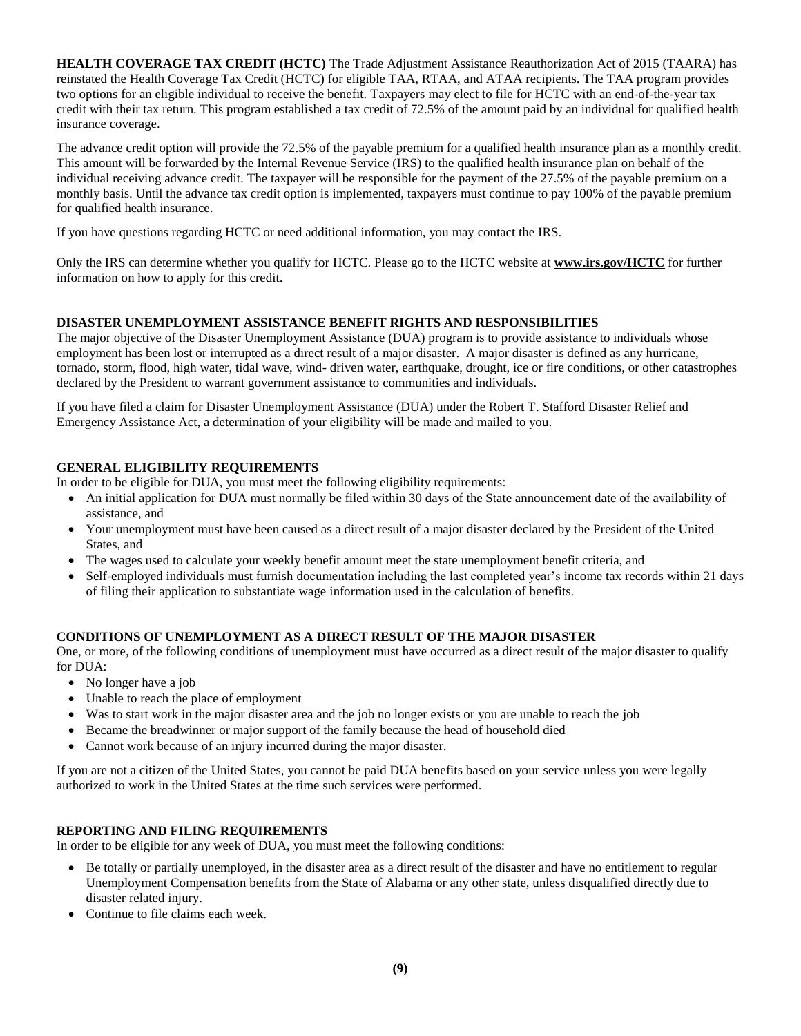**HEALTH COVERAGE TAX CREDIT (HCTC)** The Trade Adjustment Assistance Reauthorization Act of 2015 (TAARA) has reinstated the Health Coverage Tax Credit (HCTC) for eligible TAA, RTAA, and ATAA recipients. The TAA program provides two options for an eligible individual to receive the benefit. Taxpayers may elect to file for HCTC with an end-of-the-year tax credit with their tax return. This program established a tax credit of 72.5% of the amount paid by an individual for qualified health insurance coverage.

The advance credit option will provide the 72.5% of the payable premium for a qualified health insurance plan as a monthly credit. This amount will be forwarded by the Internal Revenue Service (IRS) to the qualified health insurance plan on behalf of the individual receiving advance credit. The taxpayer will be responsible for the payment of the 27.5% of the payable premium on a monthly basis. Until the advance tax credit option is implemented, taxpayers must continue to pay 100% of the payable premium for qualified health insurance.

If you have questions regarding HCTC or need additional information, you may contact the IRS.

Only the IRS can determine whether you qualify for HCTC. Please go to the HCTC website at **www.irs.gov/HCTC** for further information on how to apply for this credit.

## **DISASTER UNEMPLOYMENT ASSISTANCE BENEFIT RIGHTS AND RESPONSIBILITIES**

The major objective of the Disaster Unemployment Assistance (DUA) program is to provide assistance to individuals whose employment has been lost or interrupted as a direct result of a major disaster. A major disaster is defined as any hurricane, tornado, storm, flood, high water, tidal wave, wind- driven water, earthquake, drought, ice or fire conditions, or other catastrophes declared by the President to warrant government assistance to communities and individuals.

If you have filed a claim for Disaster Unemployment Assistance (DUA) under the Robert T. Stafford Disaster Relief and Emergency Assistance Act, a determination of your eligibility will be made and mailed to you.

## **GENERAL ELIGIBILITY REQUIREMENTS**

In order to be eligible for DUA, you must meet the following eligibility requirements:

- An initial application for DUA must normally be filed within 30 days of the State announcement date of the availability of assistance, and
- Your unemployment must have been caused as a direct result of a major disaster declared by the President of the United States, and
- The wages used to calculate your weekly benefit amount meet the state unemployment benefit criteria, and
- Self-employed individuals must furnish documentation including the last completed year's income tax records within 21 days of filing their application to substantiate wage information used in the calculation of benefits.

## **CONDITIONS OF UNEMPLOYMENT AS A DIRECT RESULT OF THE MAJOR DISASTER**

One, or more, of the following conditions of unemployment must have occurred as a direct result of the major disaster to qualify for DUA:

- No longer have a job
- Unable to reach the place of employment
- Was to start work in the major disaster area and the job no longer exists or you are unable to reach the job
- Became the breadwinner or major support of the family because the head of household died
- Cannot work because of an injury incurred during the major disaster.

If you are not a citizen of the United States, you cannot be paid DUA benefits based on your service unless you were legally authorized to work in the United States at the time such services were performed.

## **REPORTING AND FILING REQUIREMENTS**

In order to be eligible for any week of DUA, you must meet the following conditions:

- Be totally or partially unemployed, in the disaster area as a direct result of the disaster and have no entitlement to regular Unemployment Compensation benefits from the State of Alabama or any other state, unless disqualified directly due to disaster related injury.
- Continue to file claims each week.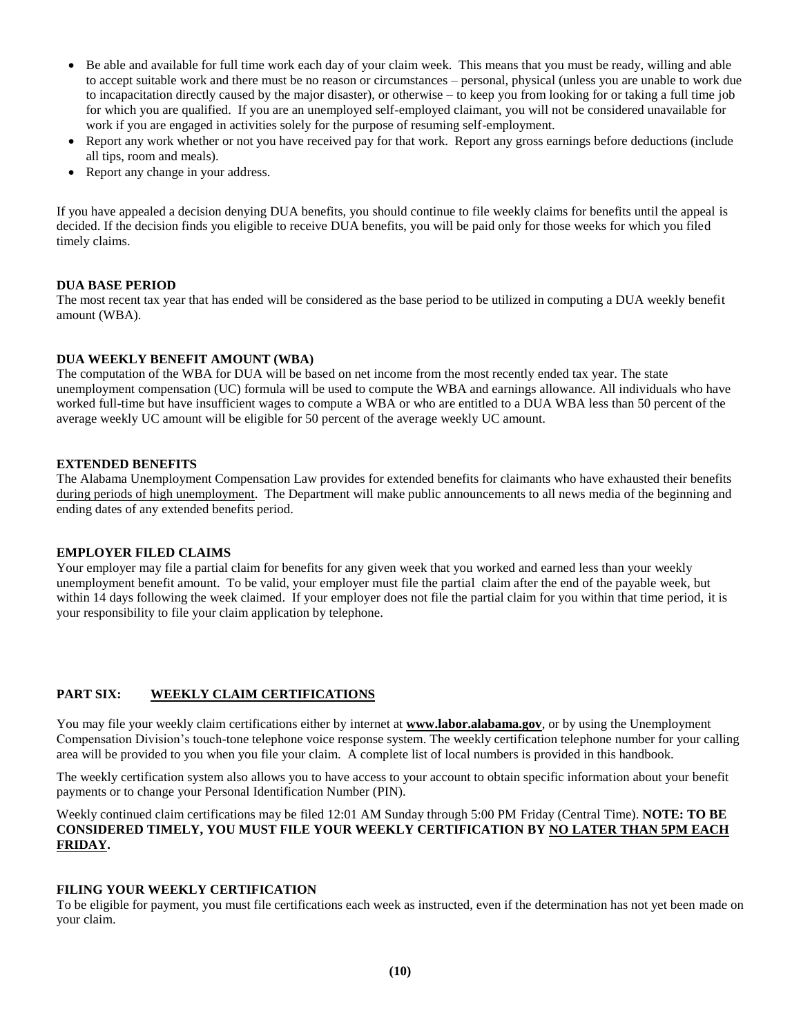- Be able and available for full time work each day of your claim week. This means that you must be ready, willing and able to accept suitable work and there must be no reason or circumstances – personal, physical (unless you are unable to work due to incapacitation directly caused by the major disaster), or otherwise – to keep you from looking for or taking a full time job for which you are qualified. If you are an unemployed self-employed claimant, you will not be considered unavailable for work if you are engaged in activities solely for the purpose of resuming self-employment.
- Report any work whether or not you have received pay for that work. Report any gross earnings before deductions (include all tips, room and meals).
- Report any change in your address.

If you have appealed a decision denying DUA benefits, you should continue to file weekly claims for benefits until the appeal is decided. If the decision finds you eligible to receive DUA benefits, you will be paid only for those weeks for which you filed timely claims.

## **DUA BASE PERIOD**

The most recent tax year that has ended will be considered as the base period to be utilized in computing a DUA weekly benefit amount (WBA).

## **DUA WEEKLY BENEFIT AMOUNT (WBA)**

The computation of the WBA for DUA will be based on net income from the most recently ended tax year. The state unemployment compensation (UC) formula will be used to compute the WBA and earnings allowance. All individuals who have worked full-time but have insufficient wages to compute a WBA or who are entitled to a DUA WBA less than 50 percent of the average weekly UC amount will be eligible for 50 percent of the average weekly UC amount.

## **EXTENDED BENEFITS**

The Alabama Unemployment Compensation Law provides for extended benefits for claimants who have exhausted their benefits during periods of high unemployment. The Department will make public announcements to all news media of the beginning and ending dates of any extended benefits period.

## **EMPLOYER FILED CLAIMS**

Your employer may file a partial claim for benefits for any given week that you worked and earned less than your weekly unemployment benefit amount. To be valid, your employer must file the partial claim after the end of the payable week, but within 14 days following the week claimed. If your employer does not file the partial claim for you within that time period, it is your responsibility to file your claim application by telephone.

## **PART SIX: WEEKLY CLAIM CERTIFICATIONS**

You may file your weekly claim certifications either by internet at **www.labor.alabama.gov**, or by using the Unemployment Compensation Division's touch-tone telephone voice response system. The weekly certification telephone number for your calling area will be provided to you when you file your claim. A complete list of local numbers is provided in this handbook.

The weekly certification system also allows you to have access to your account to obtain specific information about your benefit payments or to change your Personal Identification Number (PIN).

Weekly continued claim certifications may be filed 12:01 AM Sunday through 5:00 PM Friday (Central Time). **NOTE: TO BE CONSIDERED TIMELY, YOU MUST FILE YOUR WEEKLY CERTIFICATION BY NO LATER THAN 5PM EACH FRIDAY.**

## **FILING YOUR WEEKLY CERTIFICATION**

To be eligible for payment, you must file certifications each week as instructed, even if the determination has not yet been made on your claim.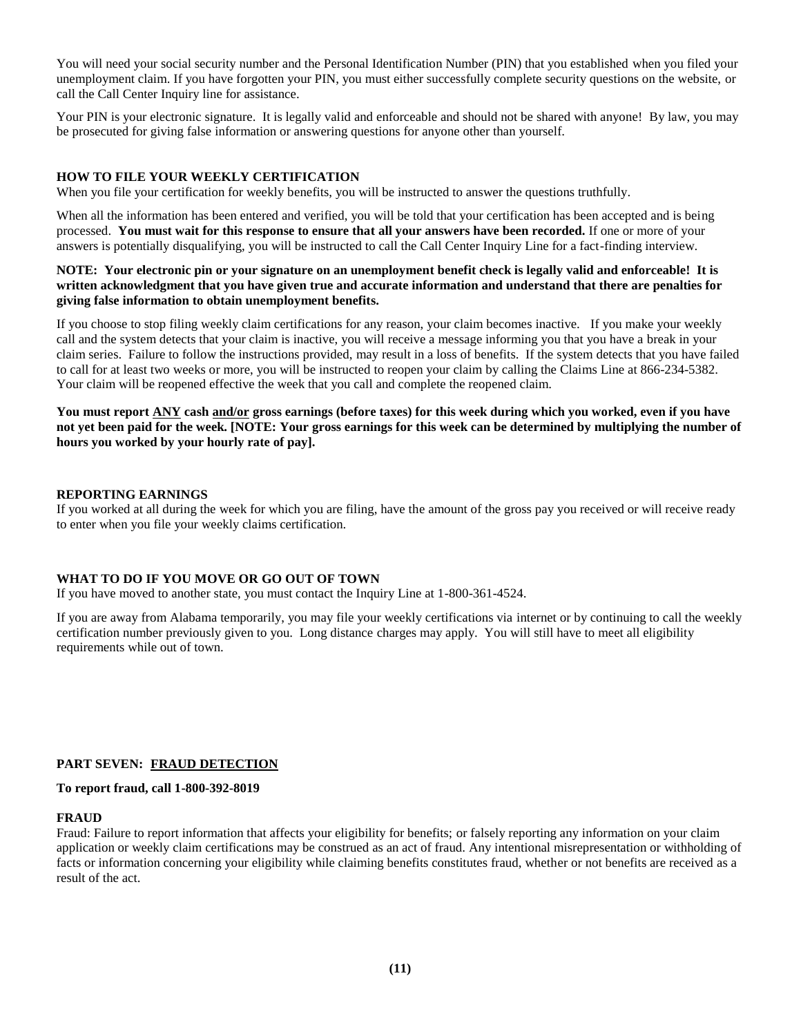You will need your social security number and the Personal Identification Number (PIN) that you established when you filed your unemployment claim. If you have forgotten your PIN, you must either successfully complete security questions on the website, or call the Call Center Inquiry line for assistance.

Your PIN is your electronic signature. It is legally valid and enforceable and should not be shared with anyone! By law, you may be prosecuted for giving false information or answering questions for anyone other than yourself.

## **HOW TO FILE YOUR WEEKLY CERTIFICATION**

When you file your certification for weekly benefits, you will be instructed to answer the questions truthfully.

When all the information has been entered and verified, you will be told that your certification has been accepted and is being processed. **You must wait for this response to ensure that all your answers have been recorded.** If one or more of your answers is potentially disqualifying, you will be instructed to call the Call Center Inquiry Line for a fact-finding interview.

#### **NOTE: Your electronic pin or your signature on an unemployment benefit check is legally valid and enforceable! It is written acknowledgment that you have given true and accurate information and understand that there are penalties for giving false information to obtain unemployment benefits.**

If you choose to stop filing weekly claim certifications for any reason, your claim becomes inactive. If you make your weekly call and the system detects that your claim is inactive, you will receive a message informing you that you have a break in your claim series. Failure to follow the instructions provided, may result in a loss of benefits. If the system detects that you have failed to call for at least two weeks or more, you will be instructed to reopen your claim by calling the Claims Line at 866-234-5382. Your claim will be reopened effective the week that you call and complete the reopened claim.

**You must report ANY cash and/or gross earnings (before taxes) for this week during which you worked, even if you have not yet been paid for the week. [NOTE: Your gross earnings for this week can be determined by multiplying the number of hours you worked by your hourly rate of pay].** 

#### **REPORTING EARNINGS**

If you worked at all during the week for which you are filing, have the amount of the gross pay you received or will receive ready to enter when you file your weekly claims certification.

## **WHAT TO DO IF YOU MOVE OR GO OUT OF TOWN**

If you have moved to another state, you must contact the Inquiry Line at 1-800-361-4524.

If you are away from Alabama temporarily, you may file your weekly certifications via internet or by continuing to call the weekly certification number previously given to you. Long distance charges may apply. You will still have to meet all eligibility requirements while out of town.

## **PART SEVEN: FRAUD DETECTION**

#### **To report fraud, call 1-800-392-8019**

#### **FRAUD**

Fraud: Failure to report information that affects your eligibility for benefits; or falsely reporting any information on your claim application or weekly claim certifications may be construed as an act of fraud. Any intentional misrepresentation or withholding of facts or information concerning your eligibility while claiming benefits constitutes fraud, whether or not benefits are received as a result of the act.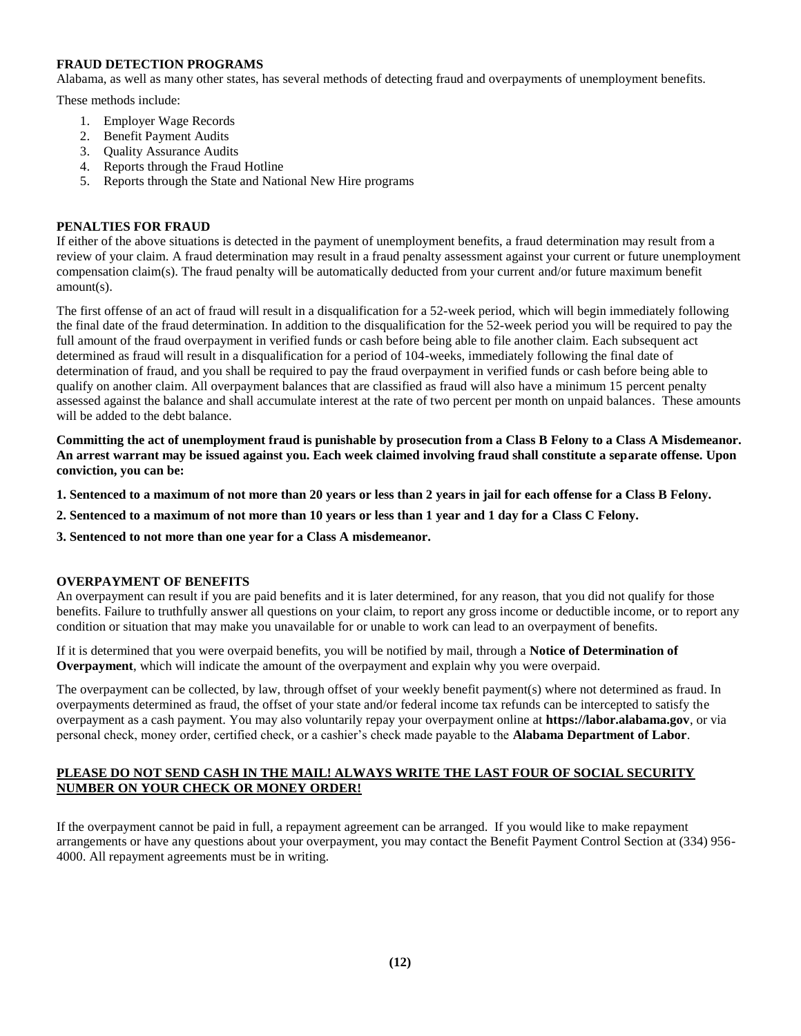## **FRAUD DETECTION PROGRAMS**

Alabama, as well as many other states, has several methods of detecting fraud and overpayments of unemployment benefits.

These methods include:

- 1. Employer Wage Records
- 2. Benefit Payment Audits
- 3. Quality Assurance Audits
- 4. Reports through the Fraud Hotline
- 5. Reports through the State and National New Hire programs

### **PENALTIES FOR FRAUD**

If either of the above situations is detected in the payment of unemployment benefits, a fraud determination may result from a review of your claim. A fraud determination may result in a fraud penalty assessment against your current or future unemployment compensation claim(s). The fraud penalty will be automatically deducted from your current and/or future maximum benefit amount(s).

The first offense of an act of fraud will result in a disqualification for a 52-week period, which will begin immediately following the final date of the fraud determination. In addition to the disqualification for the 52-week period you will be required to pay the full amount of the fraud overpayment in verified funds or cash before being able to file another claim. Each subsequent act determined as fraud will result in a disqualification for a period of 104-weeks, immediately following the final date of determination of fraud, and you shall be required to pay the fraud overpayment in verified funds or cash before being able to qualify on another claim. All overpayment balances that are classified as fraud will also have a minimum 15 percent penalty assessed against the balance and shall accumulate interest at the rate of two percent per month on unpaid balances. These amounts will be added to the debt balance.

**Committing the act of unemployment fraud is punishable by prosecution from a Class B Felony to a Class A Misdemeanor. An arrest warrant may be issued against you. Each week claimed involving fraud shall constitute a separate offense. Upon conviction, you can be:**

- **1. Sentenced to a maximum of not more than 20 years or less than 2 years in jail for each offense for a Class B Felony.**
- **2. Sentenced to a maximum of not more than 10 years or less than 1 year and 1 day for a Class C Felony.**
- **3. Sentenced to not more than one year for a Class A misdemeanor.**

#### **OVERPAYMENT OF BENEFITS**

An overpayment can result if you are paid benefits and it is later determined, for any reason, that you did not qualify for those benefits. Failure to truthfully answer all questions on your claim, to report any gross income or deductible income, or to report any condition or situation that may make you unavailable for or unable to work can lead to an overpayment of benefits.

If it is determined that you were overpaid benefits, you will be notified by mail, through a **Notice of Determination of Overpayment**, which will indicate the amount of the overpayment and explain why you were overpaid.

The overpayment can be collected, by law, through offset of your weekly benefit payment(s) where not determined as fraud. In overpayments determined as fraud, the offset of your state and/or federal income tax refunds can be intercepted to satisfy the overpayment as a cash payment. You may also voluntarily repay your overpayment online at **https://labor.alabama.gov**, or via personal check, money order, certified check, or a cashier's check made payable to the **Alabama Department of Labor**.

## **PLEASE DO NOT SEND CASH IN THE MAIL! ALWAYS WRITE THE LAST FOUR OF SOCIAL SECURITY NUMBER ON YOUR CHECK OR MONEY ORDER!**

If the overpayment cannot be paid in full, a repayment agreement can be arranged. If you would like to make repayment arrangements or have any questions about your overpayment, you may contact the Benefit Payment Control Section at (334) 956- 4000. All repayment agreements must be in writing.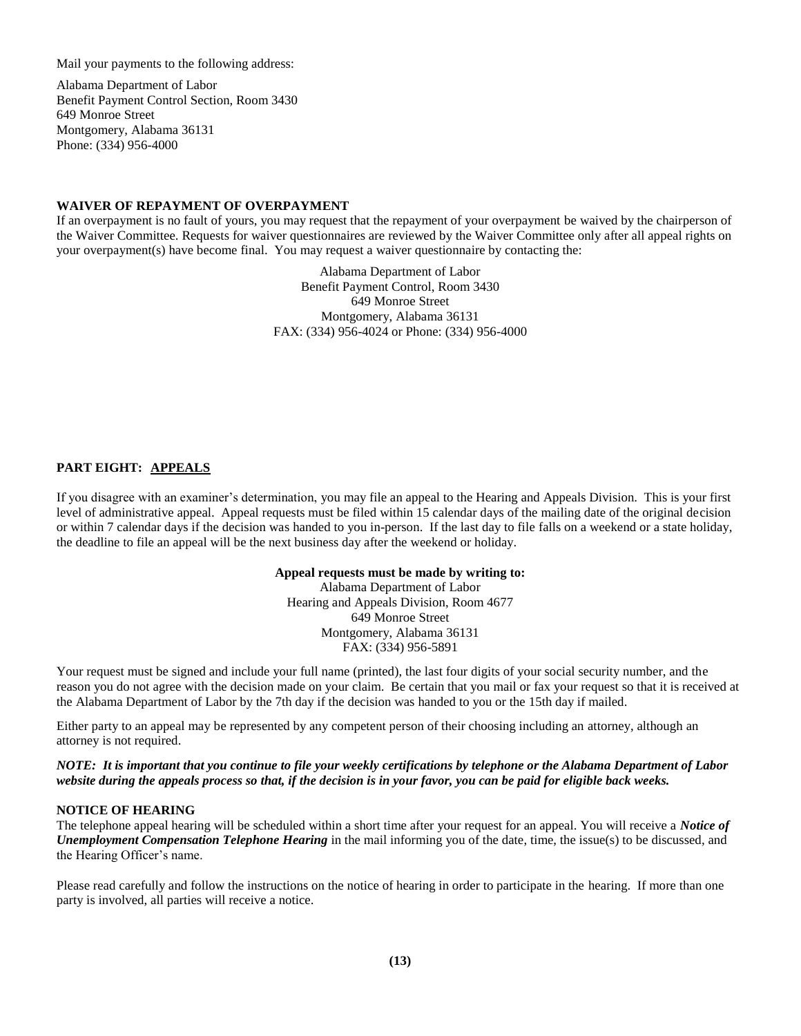Mail your payments to the following address:

Alabama Department of Labor Benefit Payment Control Section, Room 3430 649 Monroe Street Montgomery, Alabama 36131 Phone: (334) 956-4000

#### **WAIVER OF REPAYMENT OF OVERPAYMENT**

If an overpayment is no fault of yours, you may request that the repayment of your overpayment be waived by the chairperson of the Waiver Committee. Requests for waiver questionnaires are reviewed by the Waiver Committee only after all appeal rights on your overpayment(s) have become final. You may request a waiver questionnaire by contacting the:

> Alabama Department of Labor Benefit Payment Control, Room 3430 649 Monroe Street Montgomery, Alabama 36131 FAX: (334) 956-4024 or Phone: (334) 956-4000

## **PART EIGHT: APPEALS**

If you disagree with an examiner's determination, you may file an appeal to the Hearing and Appeals Division. This is your first level of administrative appeal. Appeal requests must be filed within 15 calendar days of the mailing date of the original decision or within 7 calendar days if the decision was handed to you in-person. If the last day to file falls on a weekend or a state holiday, the deadline to file an appeal will be the next business day after the weekend or holiday.

#### **Appeal requests must be made by writing to:**

Alabama Department of Labor Hearing and Appeals Division, Room 4677 649 Monroe Street Montgomery, Alabama 36131 FAX: (334) 956-5891

Your request must be signed and include your full name (printed), the last four digits of your social security number, and the reason you do not agree with the decision made on your claim. Be certain that you mail or fax your request so that it is received at the Alabama Department of Labor by the 7th day if the decision was handed to you or the 15th day if mailed.

Either party to an appeal may be represented by any competent person of their choosing including an attorney, although an attorney is not required.

*NOTE: It is important that you continue to file your weekly certifications by telephone or the Alabama Department of Labor website during the appeals process so that, if the decision is in your favor, you can be paid for eligible back weeks.*

#### **NOTICE OF HEARING**

The telephone appeal hearing will be scheduled within a short time after your request for an appeal. You will receive a *Notice of Unemployment Compensation Telephone Hearing* in the mail informing you of the date, time, the issue(s) to be discussed, and the Hearing Officer's name.

Please read carefully and follow the instructions on the notice of hearing in order to participate in the hearing. If more than one party is involved, all parties will receive a notice.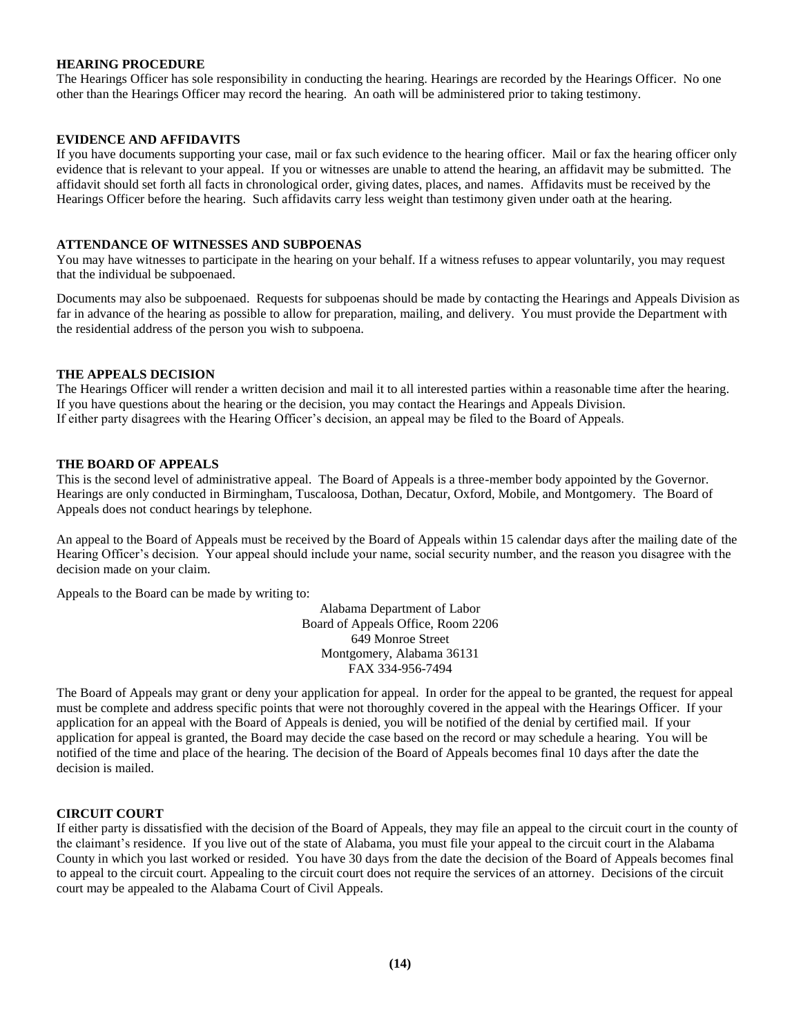### **HEARING PROCEDURE**

The Hearings Officer has sole responsibility in conducting the hearing. Hearings are recorded by the Hearings Officer. No one other than the Hearings Officer may record the hearing. An oath will be administered prior to taking testimony.

#### **EVIDENCE AND AFFIDAVITS**

If you have documents supporting your case, mail or fax such evidence to the hearing officer. Mail or fax the hearing officer only evidence that is relevant to your appeal. If you or witnesses are unable to attend the hearing, an affidavit may be submitted. The affidavit should set forth all facts in chronological order, giving dates, places, and names. Affidavits must be received by the Hearings Officer before the hearing. Such affidavits carry less weight than testimony given under oath at the hearing.

#### **ATTENDANCE OF WITNESSES AND SUBPOENAS**

You may have witnesses to participate in the hearing on your behalf. If a witness refuses to appear voluntarily, you may request that the individual be subpoenaed.

Documents may also be subpoenaed. Requests for subpoenas should be made by contacting the Hearings and Appeals Division as far in advance of the hearing as possible to allow for preparation, mailing, and delivery. You must provide the Department with the residential address of the person you wish to subpoena.

#### **THE APPEALS DECISION**

The Hearings Officer will render a written decision and mail it to all interested parties within a reasonable time after the hearing. If you have questions about the hearing or the decision, you may contact the Hearings and Appeals Division. If either party disagrees with the Hearing Officer's decision, an appeal may be filed to the Board of Appeals.

#### **THE BOARD OF APPEALS**

This is the second level of administrative appeal. The Board of Appeals is a three-member body appointed by the Governor. Hearings are only conducted in Birmingham, Tuscaloosa, Dothan, Decatur, Oxford, Mobile, and Montgomery. The Board of Appeals does not conduct hearings by telephone.

An appeal to the Board of Appeals must be received by the Board of Appeals within 15 calendar days after the mailing date of the Hearing Officer's decision. Your appeal should include your name, social security number, and the reason you disagree with the decision made on your claim.

Appeals to the Board can be made by writing to:

Alabama Department of Labor Board of Appeals Office, Room 2206 649 Monroe Street Montgomery, Alabama 36131 FAX 334-956-7494

The Board of Appeals may grant or deny your application for appeal. In order for the appeal to be granted, the request for appeal must be complete and address specific points that were not thoroughly covered in the appeal with the Hearings Officer. If your application for an appeal with the Board of Appeals is denied, you will be notified of the denial by certified mail. If your application for appeal is granted, the Board may decide the case based on the record or may schedule a hearing. You will be notified of the time and place of the hearing. The decision of the Board of Appeals becomes final 10 days after the date the decision is mailed.

#### **CIRCUIT COURT**

If either party is dissatisfied with the decision of the Board of Appeals, they may file an appeal to the circuit court in the county of the claimant's residence. If you live out of the state of Alabama, you must file your appeal to the circuit court in the Alabama County in which you last worked or resided. You have 30 days from the date the decision of the Board of Appeals becomes final to appeal to the circuit court. Appealing to the circuit court does not require the services of an attorney. Decisions of the circuit court may be appealed to the Alabama Court of Civil Appeals.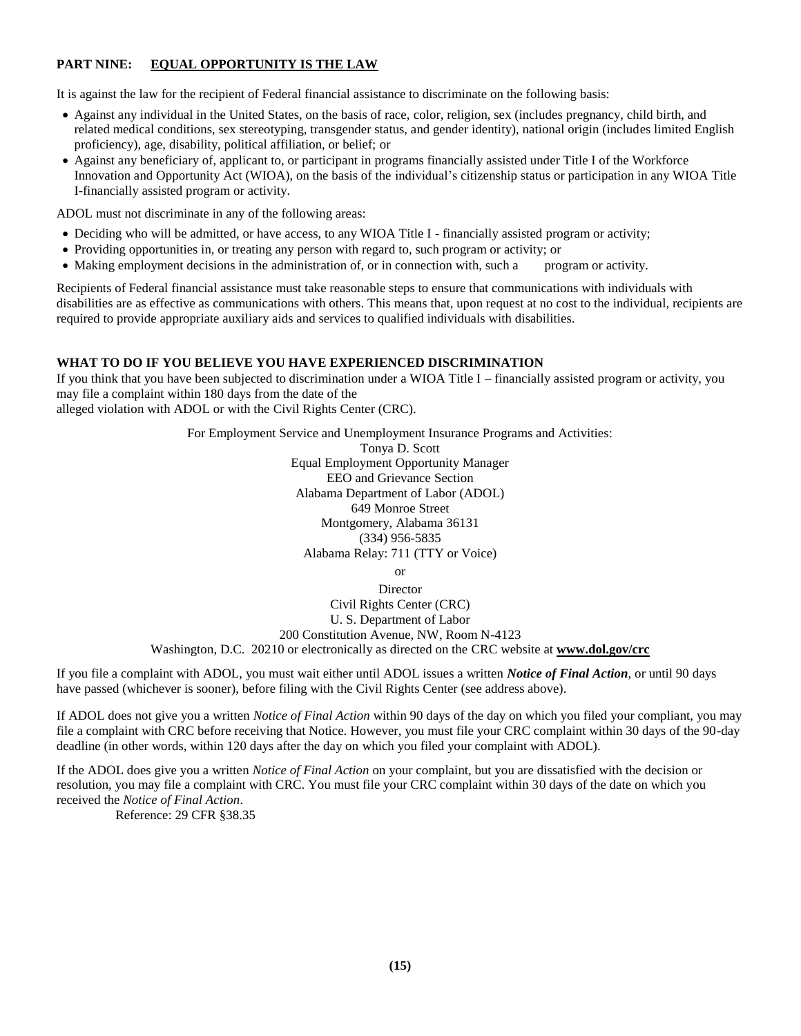## **PART NINE: EQUAL OPPORTUNITY IS THE LAW**

It is against the law for the recipient of Federal financial assistance to discriminate on the following basis:

- Against any individual in the United States, on the basis of race, color, religion, sex (includes pregnancy, child birth, and related medical conditions, sex stereotyping, transgender status, and gender identity), national origin (includes limited English proficiency), age, disability, political affiliation, or belief; or
- Against any beneficiary of, applicant to, or participant in programs financially assisted under Title I of the Workforce Innovation and Opportunity Act (WIOA), on the basis of the individual's citizenship status or participation in any WIOA Title I-financially assisted program or activity.

ADOL must not discriminate in any of the following areas:

- Deciding who will be admitted, or have access, to any WIOA Title I financially assisted program or activity;
- Providing opportunities in, or treating any person with regard to, such program or activity; or
- Making employment decisions in the administration of, or in connection with, such a program or activity.

Recipients of Federal financial assistance must take reasonable steps to ensure that communications with individuals with disabilities are as effective as communications with others. This means that, upon request at no cost to the individual, recipients are required to provide appropriate auxiliary aids and services to qualified individuals with disabilities.

## **WHAT TO DO IF YOU BELIEVE YOU HAVE EXPERIENCED DISCRIMINATION**

If you think that you have been subjected to discrimination under a WIOA Title I – financially assisted program or activity, you may file a complaint within 180 days from the date of the alleged violation with ADOL or with the Civil Rights Center (CRC).

> For Employment Service and Unemployment Insurance Programs and Activities: Tonya D. Scott Equal Employment Opportunity Manager EEO and Grievance Section Alabama Department of Labor (ADOL) 649 Monroe Street Montgomery, Alabama 36131 (334) 956-5835 Alabama Relay: 711 (TTY or Voice) or

Director Civil Rights Center (CRC) U. S. Department of Labor 200 Constitution Avenue, NW, Room N-4123 Washington, D.C. 20210 or electronically as directed on the CRC website at **www.dol.gov/crc**

If you file a complaint with ADOL, you must wait either until ADOL issues a written *Notice of Final Action*, or until 90 days have passed (whichever is sooner), before filing with the Civil Rights Center (see address above).

If ADOL does not give you a written *Notice of Final Action* within 90 days of the day on which you filed your compliant, you may file a complaint with CRC before receiving that Notice. However, you must file your CRC complaint within 30 days of the 90-day deadline (in other words, within 120 days after the day on which you filed your complaint with ADOL).

If the ADOL does give you a written *Notice of Final Action* on your complaint, but you are dissatisfied with the decision or resolution, you may file a complaint with CRC. You must file your CRC complaint within 30 days of the date on which you received the *Notice of Final Action*.

Reference: 29 CFR §38.35